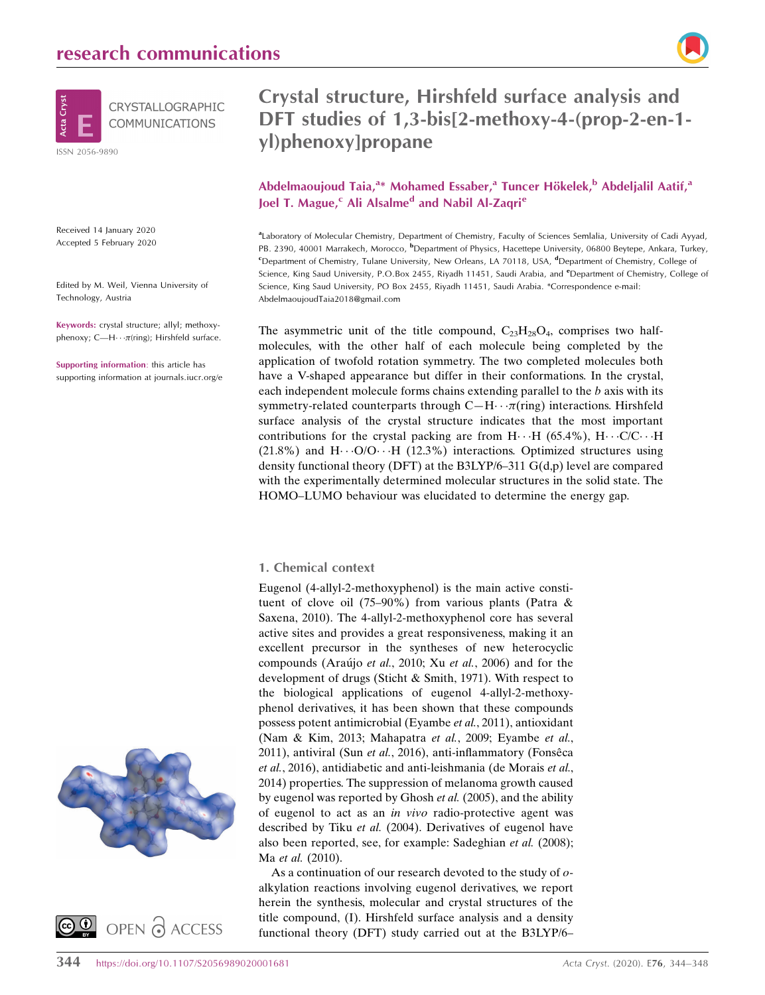

Received 14 January 2020 Accepted 5 February 2020

Edited by M. Weil, Vienna University of Technology, Austria

Keywords: crystal structure; allyl; methoxyphenoxy; C—H $\cdots$  $\pi$ (ring); Hirshfeld surface.

Supporting information: this article has supporting information at journals.iucr.org/e





### Crystal structure, Hirshfeld surface analysis and DFT studies of 1,3-bis[2-methoxy-4-(prop-2-en-1 yl)phenoxy]propane

Abdelmaoujoud Taia,<sup>a\*</sup> Mohamed Essaber,<sup>a</sup> Tuncer Hökelek,<sup>b</sup> Abdeljalil Aatif,<sup>a</sup> Joel T. Mague,<sup>c</sup> Ali Alsalme<sup>d</sup> and Nabil Al-Zaqri<sup>e</sup>

aLaboratory of Molecular Chemistry, Department of Chemistry, Faculty of Sciences Semlalia, University of Cadi Ayyad, PB. 2390, 40001 Marrakech, Morocco, <sup>b</sup>Department of Physics, Hacettepe University, 06800 Beytepe, Ankara, Turkey, <sup>c</sup>Department of Chemistry, Tulane University, New Orleans, LA 70118, USA, <sup>d</sup>Department of Chemistry, College of Science, King Saud University, P.O.Box 2455, Riyadh 11451, Saudi Arabia, and *<sup>e</sup>Department of Chemistry*, College of Science, King Saud University, PO Box 2455, Riyadh 11451, Saudi Arabia. \*Correspondence e-mail: AbdelmaoujoudTaia2018@gmail.com

The asymmetric unit of the title compound,  $C_{23}H_{28}O_4$ , comprises two halfmolecules, with the other half of each molecule being completed by the application of twofold rotation symmetry. The two completed molecules both have a V-shaped appearance but differ in their conformations. In the crystal, each independent molecule forms chains extending parallel to the b axis with its symmetry-related counterparts through  $C-H \cdots \pi$ (ring) interactions. Hirshfeld surface analysis of the crystal structure indicates that the most important contributions for the crystal packing are from  $H \cdot \cdot H$  (65.4%),  $H \cdot \cdot C/C \cdot \cdot H$ (21.8%) and H $\cdots$ O/O $\cdots$ H (12.3%) interactions. Optimized structures using density functional theory (DFT) at the B3LYP/6–311 G(d,p) level are compared with the experimentally determined molecular structures in the solid state. The HOMO–LUMO behaviour was elucidated to determine the energy gap.

#### 1. Chemical context

Eugenol (4-allyl-2-methoxyphenol) is the main active constituent of clove oil (75–90%) from various plants (Patra & Saxena, 2010). The 4-allyl-2-methoxyphenol core has several active sites and provides a great responsiveness, making it an excellent precursor in the syntheses of new heterocyclic compounds (Araújo et al., 2010; Xu et al., 2006) and for the development of drugs (Sticht & Smith, 1971). With respect to the biological applications of eugenol 4-allyl-2-methoxyphenol derivatives, it has been shown that these compounds possess potent antimicrobial (Eyambe et al., 2011), antioxidant (Nam & Kim, 2013; Mahapatra et al., 2009; Eyambe et al., 2011), antiviral (Sun et al., 2016), anti-inflammatory (Fonsêca et al., 2016), antidiabetic and anti-leishmania (de Morais et al., 2014) properties. The suppression of melanoma growth caused by eugenol was reported by Ghosh et al. (2005), and the ability of eugenol to act as an in vivo radio-protective agent was described by Tiku et al. (2004). Derivatives of eugenol have also been reported, see, for example: Sadeghian et al. (2008); Ma et al. (2010).

As a continuation of our research devoted to the study of oalkylation reactions involving eugenol derivatives, we report herein the synthesis, molecular and crystal structures of the title compound, (I). Hirshfeld surface analysis and a density functional theory (DFT) study carried out at the B3LYP/6–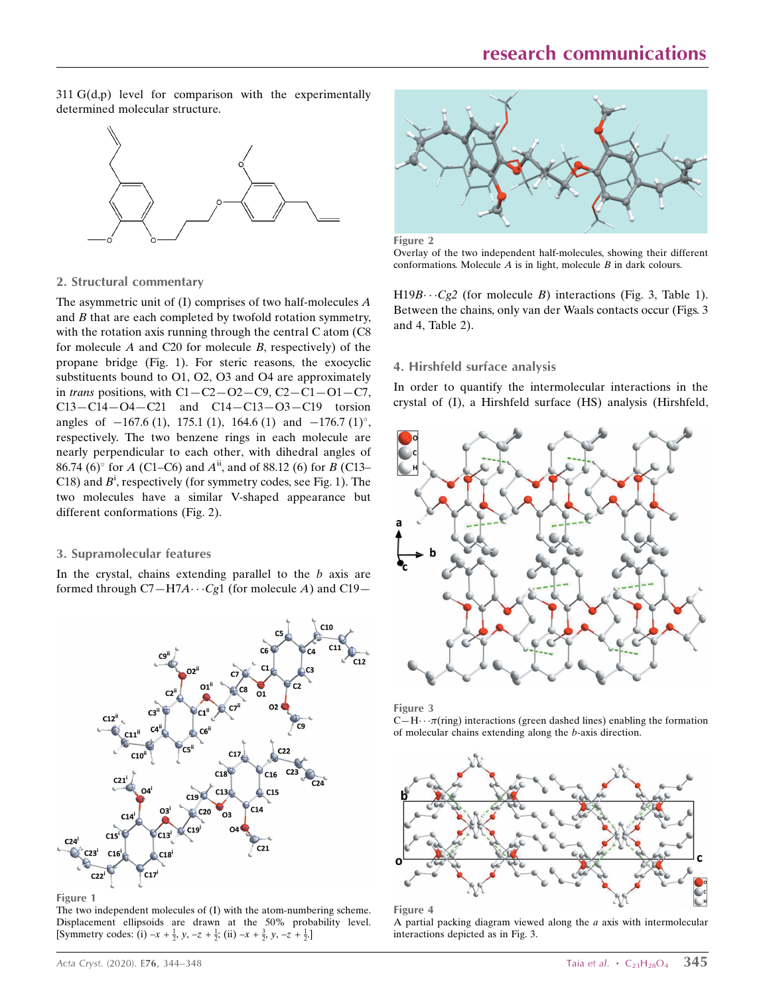311 G(d,p) level for comparison with the experimentally determined molecular structure.



#### 2. Structural commentary

The asymmetric unit of  $(I)$  comprises of two half-molecules  $A$ and  $B$  that are each completed by twofold rotation symmetry, with the rotation axis running through the central C atom (C8 for molecule A and C20 for molecule B, respectively) of the propane bridge (Fig. 1). For steric reasons, the exocyclic substituents bound to O1, O2, O3 and O4 are approximately in trans positions, with  $C1 - C2 - O2 - C9$ ,  $C2 - C1 - O1 - C7$ ,  $C13 - C14 - O4 - C21$  and  $C14 - C13 - O3 - C19$  torsion angles of  $-167.6$  (1), 175.1 (1), 164.6 (1) and  $-176.7$  (1)°, respectively. The two benzene rings in each molecule are nearly perpendicular to each other, with dihedral angles of 86.74 (6)° for A (C1–C6) and  $A^{ii}$ , and of 88.12 (6) for B (C13– C18) and  $B^i$ , respectively (for symmetry codes, see Fig. 1). The two molecules have a similar V-shaped appearance but different conformations (Fig. 2).

#### 3. Supramolecular features

In the crystal, chains extending parallel to the  $b$  axis are formed through  $C7 - H7A \cdots Cg1$  (for molecule A) and C19-



Figure 1

The two independent molecules of (I) with the atom-numbering scheme. Displacement ellipsoids are drawn at the 50% probability level. [Symmetry codes: (i)  $-x + \frac{1}{2}$ ,  $y, -z + \frac{1}{2}$ ; (ii)  $-x + \frac{3}{2}$ ,  $y, -z + \frac{1}{2}$ .]



Figure 2

Overlay of the two independent half-molecules, showing their different conformations. Molecule  $A$  is in light, molecule  $B$  in dark colours.

 $H19B\cdots Cg2$  (for molecule B) interactions (Fig. 3, Table 1). Between the chains, only van der Waals contacts occur (Figs. 3 and 4, Table 2).

#### 4. Hirshfeld surface analysis

In order to quantify the intermolecular interactions in the crystal of (I), a Hirshfeld surface (HS) analysis (Hirshfeld,



Figure 3

 $C-H\cdots \pi$ (ring) interactions (green dashed lines) enabling the formation of molecular chains extending along the b-axis direction.





A partial packing diagram viewed along the  $a$  axis with intermolecular interactions depicted as in Fig. 3.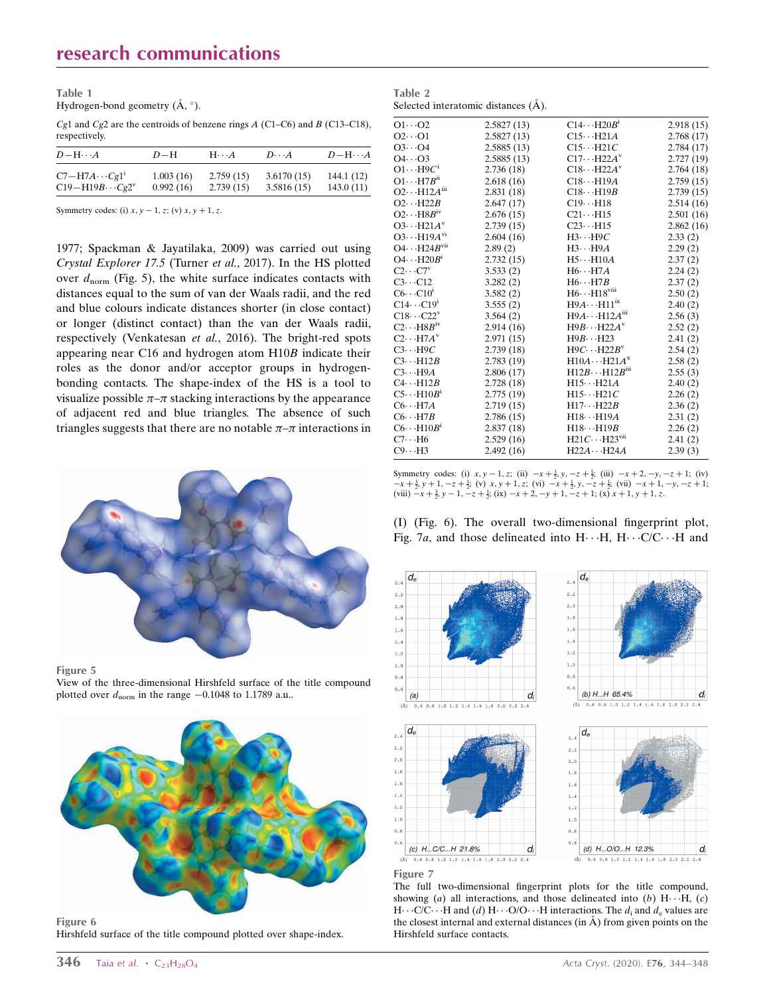Table 1 Hydrogen-bond geometry  $(\AA, \degree)$ .

Cg1 and Cg2 are the centroids of benzene rings  $A$  (C1–C6) and  $B$  (C13–C18), respectively.

| $D$ -H $\cdots$ A         | $D-H$     | $H\cdot\cdot\cdot A$ | $D\cdot\cdot\cdot A$ | $D-H\cdots A$ |
|---------------------------|-----------|----------------------|----------------------|---------------|
| $C7 - H7A \cdots Cg1^1$   | 1.003(16) | 2.759(15)            | 3.6170(15)           | 144.1 (12)    |
| $C19 - H19B \cdots Cg2^v$ | 0.992(16) | 2.739(15)            | 3.5816(15)           | 143.0(11)     |

Symmetry codes: (i)  $x, y - 1, z$ ; (v)  $x, y + 1, z$ .

1977; Spackman & Jayatilaka, 2009) was carried out using Crystal Explorer 17.5 (Turner et al., 2017). In the HS plotted over  $d_{\text{norm}}$  (Fig. 5), the white surface indicates contacts with distances equal to the sum of van der Waals radii, and the red and blue colours indicate distances shorter (in close contact) or longer (distinct contact) than the van der Waals radii, respectively (Venkatesan et al., 2016). The bright-red spots appearing near C16 and hydrogen atom H10B indicate their roles as the donor and/or acceptor groups in hydrogenbonding contacts. The shape-index of the HS is a tool to visualize possible  $\pi-\pi$  stacking interactions by the appearance of adjacent red and blue triangles. The absence of such triangles suggests that there are no notable  $\pi-\pi$  interactions in



Figure 5

View of the three-dimensional Hirshfeld surface of the title compound plotted over  $d_{\text{norm}}$  in the range  $-0.1048$  to 1.1789 a.u..



Figure 6 Hirshfeld surface of the title compound plotted over shape-index.

| Table 2 |                                     |  |
|---------|-------------------------------------|--|
|         | Selected interatomic distances (A). |  |

| $O1 \cdots O2$                    | 2.5827(13)  | $C14 \cdots H20B$ <sup>1</sup>   | 2.918(15) |
|-----------------------------------|-------------|----------------------------------|-----------|
| $O2 \cdot O1$                     | 2.5827 (13) | $C15 \cdots H21A$                | 2.768(17) |
| $O3 \cdots O4$                    | 2.5885(13)  | $C15 \cdots H21C$                | 2.784(17) |
| $O4 \cdots O3$                    | 2.5885(13)  | $C17 \cdots H22A^v$              | 2.727(19) |
| $O1 \cdots H9C^1$                 | 2.736(18)   | $C18 \cdots H22A^v$              | 2.764(18) |
| $O1 \cdots H7B^{n}$               | 2.618(16)   | $C18 \cdots H19A$                | 2.759(15) |
| $O2 \cdot \cdot \cdot H12A^{III}$ | 2.831 (18)  | $C18 \cdots H19B$                | 2.739(15) |
| $O2 \cdot \cdot \cdot H22B$       | 2.647(17)   | $C19 \cdots H18$                 | 2.514(16) |
| $O2 \cdots H8B^{IV}$              | 2.676(15)   | $C21 \cdots H15$                 | 2.501(16) |
| $O3 \cdot \cdot \cdot H21A^v$     | 2.739 (15)  | $C23 \cdot \cdot \cdot H15$      | 2.862(16) |
| $O3 \cdots H19A^{vi}$             | 2.604(16)   | $H3 \cdots H9C$                  | 2.33(2)   |
| $O4 \cdots H24B$ <sup>vii</sup>   | 2.89(2)     | $H3 \cdots H9A$                  | 2.29(2)   |
| $O4 \cdots H20B^i$                | 2.732(15)   | $H5 \cdots H10A$                 | 2.37(2)   |
| $C2 \cdots C7$ <sup>v</sup>       | 3.533(2)    | $H6 \cdot H7A$                   | 2.24(2)   |
| $C3 \cdots C12$                   | 3.282(2)    | $H6 \cdots H7B$                  | 2.37(2)   |
| $C6 \cdots C10^{1}$               | 3.582(2)    | $H6 \cdots H18$ <sup>viii</sup>  | 2.50(2)   |
| $C14 \cdots C19$ <sup>1</sup>     | 3.555(2)    | $H9A \cdots H11^{ix}$            | 2.40(2)   |
| $C18\cdots C22^v$                 | 3.564(2)    | $H9A \cdots H12A^{III}$          | 2.56(3)   |
| $C2 \cdots H8B^{iv}$              | 2.914(16)   | $H9B \cdots H22A^v$              | 2.52(2)   |
| $C2 \cdot \cdot H7A^v$            | 2.971 (15)  | $H9B \cdots H23$                 | 2.41(2)   |
| $C3 \cdots H9C$                   | 2.739(18)   | $H9C \cdots H22B^v$              | 2.54(2)   |
| $C3 \cdot \cdot \cdot H12B$       | 2.783(19)   | $H10A \cdots H21A^x$             | 2.58(2)   |
| $C3 \cdots H9A$                   | 2.806(17)   | $H12B \cdot H12B$ <sup>iii</sup> | 2.55(3)   |
| $C4 \cdot \cdot H12B$             | 2.728(18)   | $H15\cdots H21A$                 | 2.40(2)   |
| $C5 \cdots H10B^1$                | 2.775(19)   | $H15 \cdots H21C$                | 2.26(2)   |
| $C6 \cdots H7A$                   | 2.719(15)   | $H17 \cdots H22B$                | 2.36(2)   |
| $C6 \cdots H7B$                   | 2.786(15)   | $H18 \cdots H19A$                | 2.31(2)   |
| $C6 \cdot \cdot \cdot H10B^1$     | 2.837(18)   | $H18 \cdots H19B$                | 2.26(2)   |
| $C7 \cdot \cdot \cdot H6$         | 2.529(16)   | $H21C \cdots H23$ <sup>vu</sup>  | 2.41(2)   |
| $C9 \cdots H3$                    | 2.492(16)   | $H22A \cdots H24A$               | 2.39(3)   |
|                                   |             |                                  |           |

Symmetry codes: (i)  $x, y - 1, z$ ; (ii)  $-x + \frac{3}{2}$ ,  $y, -z + \frac{1}{2}$ ; (iii)  $-x + 2, -y, -z + 1$ ; (iv)  $-x+\frac{3}{2}, y+1, -z+\frac{1}{2}$ ; (v) x, y + 1, z; (vi)  $-x+\frac{1}{2}$ , y,  $-z+\frac{1}{2}$ ; (vii)  $-x+1, -y, -z+1$ ; (viii)  $-x + \frac{3}{2}$ ,  $y - 1$ ,  $-z + \frac{1}{2}$ ; (ix)  $-x + 2$ ,  $-y + 1$ ,  $-z + 1$ ; (x)  $x + 1$ ,  $y + 1$ , z.

(I) (Fig. 6). The overall two-dimensional fingerprint plot, Fig. 7a, and those delineated into  $H \cdots H$ ,  $H \cdots C/C \cdots H$  and





 $(\stackrel{\leftarrow}{\mathbb{A}})$  $0.6$  0.8 1.0 1.2 1.4 1.6 1.8

#### Figure 7

The full two-dimensional fingerprint plots for the title compound, showing (a) all interactions, and those delineated into (b)  $H \cdots H$ , (c)  $H \cdots C/C \cdots H$  and (d)  $H \cdots O/O \cdots H$  interactions. The  $d_i$  and  $d_e$  values are the closest internal and external distances (in  $\AA$ ) from given points on the Hirshfeld surface contacts.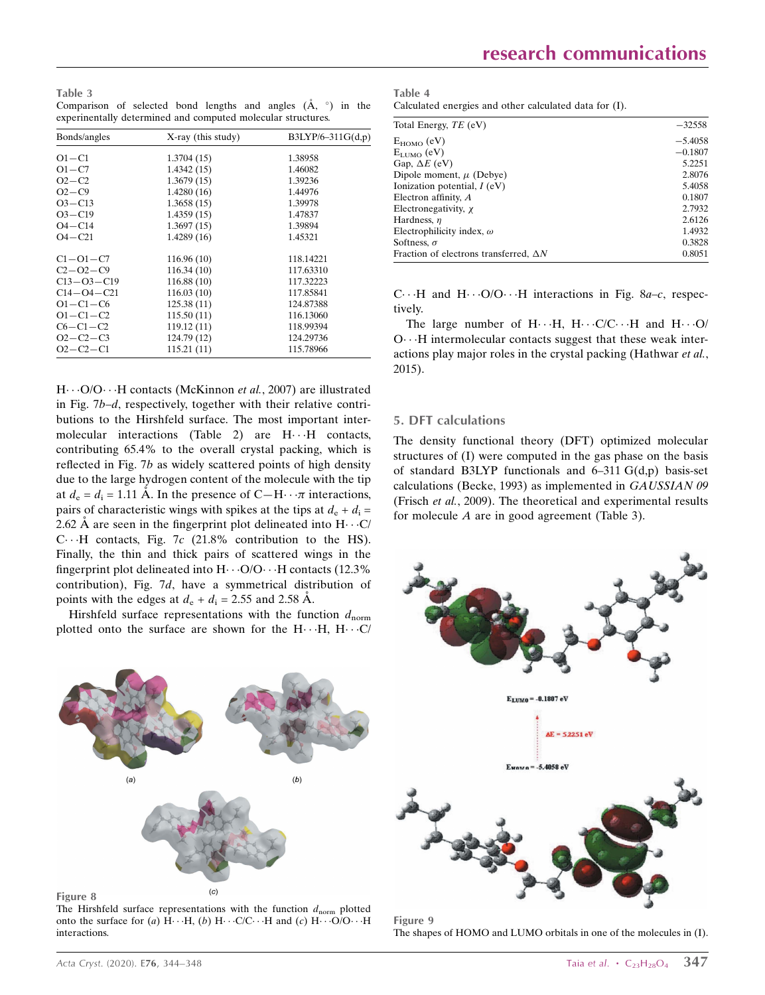Table 3 Comparison of selected bond lengths and angles  $(\mathring{A}, \circ)$  in the experinentally determined and computed molecular structures.

| Bonds/angles     | X-ray (this study) | $B3LYP/6-311G(d,p)$ |
|------------------|--------------------|---------------------|
| $O1 - C1$        | 1.3704(15)         | 1.38958             |
| $O1 - C7$        | 1.4342(15)         | 1.46082             |
| $O2 - C2$        | 1.3679(15)         | 1.39236             |
| $O2-C9$          | 1.4280(16)         | 1.44976             |
| $O3 - C13$       | 1.3658(15)         | 1.39978             |
| $O3 - C19$       | 1.4359(15)         | 1.47837             |
| $O4 - C14$       | 1.3697(15)         | 1.39894             |
| $O4 - C21$       | 1.4289(16)         | 1.45321             |
| $C1 - O1 - C7$   | 116.96(10)         | 118.14221           |
| $C2 - O2 - C9$   | 116.34(10)         | 117.63310           |
| $C13 - O3 - C19$ | 116.88(10)         | 117.32223           |
| $C14 - O4 - C21$ | 116.03(10)         | 117.85841           |
| $O1 - C1 - C6$   | 125.38(11)         | 124.87388           |
| $O1 - C1 - C2$   | 115.50(11)         | 116.13060           |
| $C6 - C1 - C2$   | 119.12(11)         | 118.99394           |
| $O2 - C2 - C3$   | 124.79 (12)        | 124.29736           |
| $O2 - C2 - C1$   | 115.21(11)         | 115.78966           |

H···O/O···H contacts (McKinnon et al., 2007) are illustrated in Fig. 7b–d, respectively, together with their relative contributions to the Hirshfeld surface. The most important intermolecular interactions (Table 2) are  $H \cdot \cdot H$  contacts, contributing 65.4% to the overall crystal packing, which is reflected in Fig. 7b as widely scattered points of high density due to the large hydrogen content of the molecule with the tip at  $d_e = d_i = 1.11 \text{ Å}$ . In the presence of C-H $\cdots \pi$  interactions, pairs of characteristic wings with spikes at the tips at  $d_e + d_i =$ 2.62 Å are seen in the fingerprint plot delineated into  $H \cdot \cdot C$ C $\cdots$ H contacts, Fig. 7c (21.8% contribution to the HS). Finally, the thin and thick pairs of scattered wings in the fingerprint plot delineated into  $H \cdot \cdot \cdot O/O \cdot \cdot \cdot H$  contacts (12.3%) contribution), Fig. 7d, have a symmetrical distribution of points with the edges at  $d_e + d_i = 2.55$  and 2.58 Å.

Hirshfeld surface representations with the function  $d_{norm}$ plotted onto the surface are shown for the  $H \cdots H$ ,  $H \cdots C$ 



Figure 8

The Hirshfeld surface representations with the function  $d_{\text{norm}}$  plotted onto the surface for (a)  $H \cdots H$ , (b)  $H \cdots C/C \cdots H$  and (c)  $H \cdots O/O \cdots H$ interactions.

Table 4 Calculated energies and other calculated data for (I).

| Total Energy, TE (eV)                         | $-32558$  |
|-----------------------------------------------|-----------|
| $E_{HOMO}$ (eV)                               | $-5.4058$ |
| $E_{LIMO}$ (eV)                               | $-0.1807$ |
| Gap, $\Delta E$ (eV)                          | 5.2251    |
| Dipole moment, $\mu$ (Debye)                  | 2.8076    |
| Ionization potential, $I$ (eV)                | 5.4058    |
| Electron affinity, $A$                        | 0.1807    |
| Electronegativity, x                          | 2.7932    |
| Hardness, $\eta$                              | 2.6126    |
| Electrophilicity index, $\omega$              | 1.4932    |
| Softness, $\sigma$                            | 0.3828    |
| Fraction of electrons transferred, $\Delta N$ | 0.8051    |
|                                               |           |

C $\cdots$ H and H $\cdots$ O/O $\cdots$ H interactions in Fig. 8a-c, respectively.

The large number of  $H \cdots H$ ,  $H \cdots C/C \cdots H$  and  $H \cdots O$ O...H intermolecular contacts suggest that these weak interactions play major roles in the crystal packing (Hathwar et al., 2015).

#### 5. DFT calculations

The density functional theory (DFT) optimized molecular structures of (I) were computed in the gas phase on the basis of standard B3LYP functionals and 6–311 G(d,p) basis-set calculations (Becke, 1993) as implemented in GAUSSIAN 09 (Frisch et al., 2009). The theoretical and experimental results for molecule A are in good agreement (Table 3).



Figure 9 The shapes of HOMO and LUMO orbitals in one of the molecules in (I).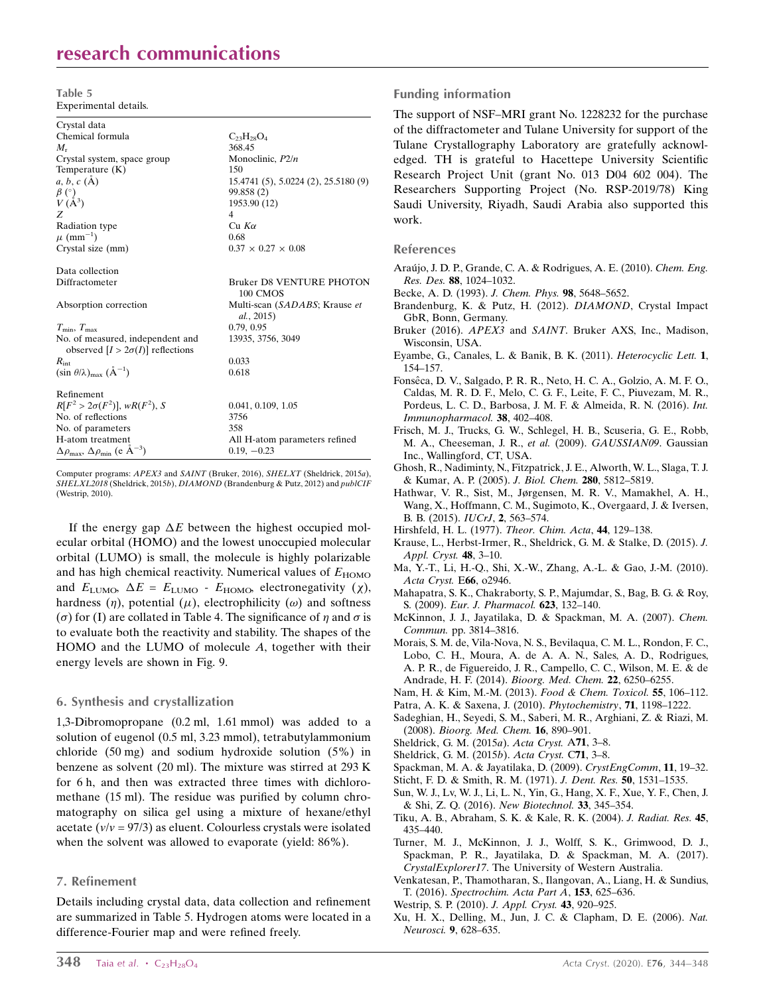### research communications

Table 5 Experimental details.

| Crystal data                                                                |                                             |
|-----------------------------------------------------------------------------|---------------------------------------------|
| Chemical formula                                                            | $C_{23}H_{28}O_4$                           |
| $M_{\rm r}$                                                                 | 368.45                                      |
| Crystal system, space group                                                 | Monoclinic, $P2/n$                          |
| Temperature $(K)$                                                           | 150                                         |
| $a, b, c (\AA)$                                                             | 15.4741 (5), 5.0224 (2), 25.5180 (9)        |
| $\beta$ (°)                                                                 | 99.858 (2)                                  |
| $V(\AA^3)$                                                                  | 1953.90 (12)                                |
| Z                                                                           | $\overline{4}$                              |
| Radiation type                                                              | $Cu$ K $\alpha$                             |
| $\mu$ (mm <sup>-1</sup> )                                                   | 0.68                                        |
| Crystal size (mm)                                                           | $0.37 \times 0.27 \times 0.08$              |
| Data collection                                                             |                                             |
| Diffractometer                                                              | <b>Bruker D8 VENTURE PHOTON</b><br>100 CMOS |
| Absorption correction                                                       | Multi-scan (SADABS; Krause et<br>al., 2015) |
| $T_{\min}, T_{\max}$                                                        | 0.79, 0.95                                  |
| No. of measured, independent and<br>observed $[I > 2\sigma(I)]$ reflections | 13935, 3756, 3049                           |
| $R_{\rm int}$                                                               | 0.033                                       |
| $(\sin \theta/\lambda)_{\text{max}}$ $(\AA^{-1})$                           | 0.618                                       |
| Refinement                                                                  |                                             |
| $R[F^2 > 2\sigma(F^2)], wR(F^2), S$                                         | 0.041, 0.109, 1.05                          |
| No. of reflections                                                          | 3756                                        |
| No. of parameters                                                           | 358                                         |
| H-atom treatment                                                            | All H-atom parameters refined               |
| $\Delta \rho_{\text{max}}$ , $\Delta \rho_{\text{min}}$ (e $\AA^{-3}$ )     | $0.19, -0.23$                               |

Computer programs: APEX3 and SAINT (Bruker, 2016), SHELXT (Sheldrick, 2015a), SHELXL2018 (Sheldrick, 2015b), DIAMOND (Brandenburg & Putz, 2012) and publCIF (Westrip, 2010).

If the energy gap  $\Delta E$  between the highest occupied molecular orbital (HOMO) and the lowest unoccupied molecular orbital (LUMO) is small, the molecule is highly polarizable and has high chemical reactivity. Numerical values of  $E_{HOMO}$ and  $E_{\text{LUMO}}$ ,  $\Delta E = E_{\text{LUMO}} - E_{\text{HOMO}}$ , electronegativity ( $\chi$ ), hardness  $(\eta)$ , potential  $(\mu)$ , electrophilicity  $(\omega)$  and softness ( $\sigma$ ) for (I) are collated in Table 4. The significance of  $\eta$  and  $\sigma$  is to evaluate both the reactivity and stability. The shapes of the HOMO and the LUMO of molecule A, together with their energy levels are shown in Fig. 9.

#### 6. Synthesis and crystallization

1,3-Dibromopropane (0.2 ml, 1.61 mmol) was added to a solution of eugenol (0.5 ml, 3.23 mmol), tetrabutylammonium chloride (50 mg) and sodium hydroxide solution (5%) in benzene as solvent (20 ml). The mixture was stirred at 293 K for 6 h, and then was extracted three times with dichloromethane (15 ml). The residue was purified by column chromatography on silica gel using a mixture of hexane/ethyl acetate ( $v/v = 97/3$ ) as eluent. Colourless crystals were isolated when the solvent was allowed to evaporate (yield:  $86\%$ ).

#### 7. Refinement

Details including crystal data, data collection and refinement are summarized in Table 5. Hydrogen atoms were located in a difference-Fourier map and were refined freely.

#### Funding information

The support of NSF–MRI grant No. 1228232 for the purchase of the diffractometer and Tulane University for support of the Tulane Crystallography Laboratory are gratefully acknowledged. TH is grateful to Hacettepe University Scientific Research Project Unit (grant No. 013 D04 602 004). The Researchers Supporting Project (No. RSP-2019/78) King Saudi University, Riyadh, Saudi Arabia also supported this work.

#### References

- Araújo, J. D. P., Grande, C. A. & Rodrigues, A. E. (2010). Chem. Eng. Res. Des. 88[, 1024–1032.](http://scripts.iucr.org/cgi-bin/cr.cgi?rm=pdfbb&cnor=wm5538&bbid=BB1)
- [Becke, A. D. \(1993\).](http://scripts.iucr.org/cgi-bin/cr.cgi?rm=pdfbb&cnor=wm5538&bbid=BB2) J. Chem. Phys. 98, 5648–5652.
- [Brandenburg, K. & Putz, H. \(2012\).](http://scripts.iucr.org/cgi-bin/cr.cgi?rm=pdfbb&cnor=wm5538&bbid=BB3) DIAMOND, Crystal Impact [GbR, Bonn, Germany.](http://scripts.iucr.org/cgi-bin/cr.cgi?rm=pdfbb&cnor=wm5538&bbid=BB3)
- Bruker (2016). APEX3 and SAINT[. Bruker AXS, Inc., Madison,](http://scripts.iucr.org/cgi-bin/cr.cgi?rm=pdfbb&cnor=wm5538&bbid=BB4) [Wisconsin, USA.](http://scripts.iucr.org/cgi-bin/cr.cgi?rm=pdfbb&cnor=wm5538&bbid=BB4)
- [Eyambe, G., Canales, L. & Banik, B. K. \(2011\).](http://scripts.iucr.org/cgi-bin/cr.cgi?rm=pdfbb&cnor=wm5538&bbid=BB5) Heterocyclic Lett. 1, [154–157.](http://scripts.iucr.org/cgi-bin/cr.cgi?rm=pdfbb&cnor=wm5538&bbid=BB5)
- Fonsêca, D. V., Salgado, P. R. R., Neto, H. C. A., Golzio, A. M. F. O., [Caldas, M. R. D. F., Melo, C. G. F., Leite, F. C., Piuvezam, M. R.,](http://scripts.iucr.org/cgi-bin/cr.cgi?rm=pdfbb&cnor=wm5538&bbid=BB6) [Pordeus, L. C. D., Barbosa, J. M. F. & Almeida, R. N. \(2016\).](http://scripts.iucr.org/cgi-bin/cr.cgi?rm=pdfbb&cnor=wm5538&bbid=BB6) Int. [Immunopharmacol.](http://scripts.iucr.org/cgi-bin/cr.cgi?rm=pdfbb&cnor=wm5538&bbid=BB6) 38, 402–408.
- [Frisch, M. J., Trucks, G. W., Schlegel, H. B., Scuseria, G. E., Robb,](http://scripts.iucr.org/cgi-bin/cr.cgi?rm=pdfbb&cnor=wm5538&bbid=BB7) [M. A., Cheeseman, J. R.,](http://scripts.iucr.org/cgi-bin/cr.cgi?rm=pdfbb&cnor=wm5538&bbid=BB7) et al. (2009). GAUSSIAN09. Gaussian [Inc., Wallingford, CT, USA.](http://scripts.iucr.org/cgi-bin/cr.cgi?rm=pdfbb&cnor=wm5538&bbid=BB7)
- [Ghosh, R., Nadiminty, N., Fitzpatrick, J. E., Alworth, W. L., Slaga, T. J.](http://scripts.iucr.org/cgi-bin/cr.cgi?rm=pdfbb&cnor=wm5538&bbid=BB8) [& Kumar, A. P. \(2005\).](http://scripts.iucr.org/cgi-bin/cr.cgi?rm=pdfbb&cnor=wm5538&bbid=BB8) J. Biol. Chem. 280, 5812–5819.
- [Hathwar, V. R., Sist, M., Jørgensen, M. R. V., Mamakhel, A. H.,](http://scripts.iucr.org/cgi-bin/cr.cgi?rm=pdfbb&cnor=wm5538&bbid=BB9) [Wang, X., Hoffmann, C. M., Sugimoto, K., Overgaard, J. & Iversen,](http://scripts.iucr.org/cgi-bin/cr.cgi?rm=pdfbb&cnor=wm5538&bbid=BB9) [B. B. \(2015\).](http://scripts.iucr.org/cgi-bin/cr.cgi?rm=pdfbb&cnor=wm5538&bbid=BB9) IUCrJ, 2, 563–574.
- [Hirshfeld, H. L. \(1977\).](http://scripts.iucr.org/cgi-bin/cr.cgi?rm=pdfbb&cnor=wm5538&bbid=BB10) Theor. Chim. Acta, 44, 129–138.
- [Krause, L., Herbst-Irmer, R., Sheldrick, G. M. & Stalke, D. \(2015\).](http://scripts.iucr.org/cgi-bin/cr.cgi?rm=pdfbb&cnor=wm5538&bbid=BB12) J. [Appl. Cryst.](http://scripts.iucr.org/cgi-bin/cr.cgi?rm=pdfbb&cnor=wm5538&bbid=BB12) **48**, 3-10.
- [Ma, Y.-T., Li, H.-Q., Shi, X.-W., Zhang, A.-L. & Gao, J.-M. \(2010\).](http://scripts.iucr.org/cgi-bin/cr.cgi?rm=pdfbb&cnor=wm5538&bbid=BB13) [Acta Cryst.](http://scripts.iucr.org/cgi-bin/cr.cgi?rm=pdfbb&cnor=wm5538&bbid=BB13) E66, o2946.
- [Mahapatra, S. K., Chakraborty, S. P., Majumdar, S., Bag, B. G. & Roy,](http://scripts.iucr.org/cgi-bin/cr.cgi?rm=pdfbb&cnor=wm5538&bbid=BB11) S. (2009). [Eur. J. Pharmacol.](http://scripts.iucr.org/cgi-bin/cr.cgi?rm=pdfbb&cnor=wm5538&bbid=BB11) 623, 132–140.
- [McKinnon, J. J., Jayatilaka, D. & Spackman, M. A. \(2007\).](http://scripts.iucr.org/cgi-bin/cr.cgi?rm=pdfbb&cnor=wm5538&bbid=BB14) Chem. Commun. [pp. 3814–3816.](http://scripts.iucr.org/cgi-bin/cr.cgi?rm=pdfbb&cnor=wm5538&bbid=BB14)
- [Morais, S. M. de, Vila-Nova, N. S., Bevilaqua, C. M. L., Rondon, F. C.,](http://scripts.iucr.org/cgi-bin/cr.cgi?rm=pdfbb&cnor=wm5538&bbid=BB15) [Lobo, C. H., Moura, A. de A. A. N., Sales, A. D., Rodrigues,](http://scripts.iucr.org/cgi-bin/cr.cgi?rm=pdfbb&cnor=wm5538&bbid=BB15) [A. P. R., de Figuereido, J. R., Campello, C. C., Wilson, M. E. & de](http://scripts.iucr.org/cgi-bin/cr.cgi?rm=pdfbb&cnor=wm5538&bbid=BB15) [Andrade, H. F. \(2014\).](http://scripts.iucr.org/cgi-bin/cr.cgi?rm=pdfbb&cnor=wm5538&bbid=BB15) Bioorg. Med. Chem. 22, 6250–6255.
- [Nam, H. & Kim, M.-M. \(2013\).](http://scripts.iucr.org/cgi-bin/cr.cgi?rm=pdfbb&cnor=wm5538&bbid=BB16) Food & Chem. Toxicol. 55, 106–112.
- [Patra, A. K. & Saxena, J. \(2010\).](http://scripts.iucr.org/cgi-bin/cr.cgi?rm=pdfbb&cnor=wm5538&bbid=BB17) Phytochemistry, 71, 1198–1222.
- [Sadeghian, H., Seyedi, S. M., Saberi, M. R., Arghiani, Z. & Riazi, M.](http://scripts.iucr.org/cgi-bin/cr.cgi?rm=pdfbb&cnor=wm5538&bbid=BB18) (2008). [Bioorg. Med. Chem.](http://scripts.iucr.org/cgi-bin/cr.cgi?rm=pdfbb&cnor=wm5538&bbid=BB18) 16, 890–901.
- [Sheldrick, G. M. \(2015](http://scripts.iucr.org/cgi-bin/cr.cgi?rm=pdfbb&cnor=wm5538&bbid=BB19)a). Acta Cryst. A71, 3–8.
- [Sheldrick, G. M. \(2015](http://scripts.iucr.org/cgi-bin/cr.cgi?rm=pdfbb&cnor=wm5538&bbid=BB20)b). Acta Cryst. C71, 3–8.
- [Spackman, M. A. & Jayatilaka, D. \(2009\).](http://scripts.iucr.org/cgi-bin/cr.cgi?rm=pdfbb&cnor=wm5538&bbid=BB21) CrystEngComm, 11, 19–32.
- [Sticht, F. D. & Smith, R. M. \(1971\).](http://scripts.iucr.org/cgi-bin/cr.cgi?rm=pdfbb&cnor=wm5538&bbid=BB22) J. Dent. Res. 50, 1531–1535.
- [Sun, W. J., Lv, W. J., Li, L. N., Yin, G., Hang, X. F., Xue, Y. F., Chen, J.](http://scripts.iucr.org/cgi-bin/cr.cgi?rm=pdfbb&cnor=wm5538&bbid=BB23) [& Shi, Z. Q. \(2016\).](http://scripts.iucr.org/cgi-bin/cr.cgi?rm=pdfbb&cnor=wm5538&bbid=BB23) New Biotechnol. 33, 345–354.
- [Tiku, A. B., Abraham, S. K. & Kale, R. K. \(2004\).](http://scripts.iucr.org/cgi-bin/cr.cgi?rm=pdfbb&cnor=wm5538&bbid=BB24) J. Radiat. Res. 45, [435–440.](http://scripts.iucr.org/cgi-bin/cr.cgi?rm=pdfbb&cnor=wm5538&bbid=BB24)
- [Turner, M. J., McKinnon, J. J., Wolff, S. K., Grimwood, D. J.,](http://scripts.iucr.org/cgi-bin/cr.cgi?rm=pdfbb&cnor=wm5538&bbid=BB25) [Spackman, P. R., Jayatilaka, D. & Spackman, M. A. \(2017\).](http://scripts.iucr.org/cgi-bin/cr.cgi?rm=pdfbb&cnor=wm5538&bbid=BB25) CrystalExplorer17[. The University of Western Australia.](http://scripts.iucr.org/cgi-bin/cr.cgi?rm=pdfbb&cnor=wm5538&bbid=BB25)
- [Venkatesan, P., Thamotharan, S., Ilangovan, A., Liang, H. & Sundius,](http://scripts.iucr.org/cgi-bin/cr.cgi?rm=pdfbb&cnor=wm5538&bbid=BB26) T. (2016). [Spectrochim. Acta Part A](http://scripts.iucr.org/cgi-bin/cr.cgi?rm=pdfbb&cnor=wm5538&bbid=BB26), 153, 625–636.
- [Westrip, S. P. \(2010\).](http://scripts.iucr.org/cgi-bin/cr.cgi?rm=pdfbb&cnor=wm5538&bbid=BB27) J. Appl. Cryst. 43, 920–925.
- [Xu, H. X., Delling, M., Jun, J. C. & Clapham, D. E. \(2006\).](http://scripts.iucr.org/cgi-bin/cr.cgi?rm=pdfbb&cnor=wm5538&bbid=BB28) Nat. Neurosci. 9[, 628–635.](http://scripts.iucr.org/cgi-bin/cr.cgi?rm=pdfbb&cnor=wm5538&bbid=BB28)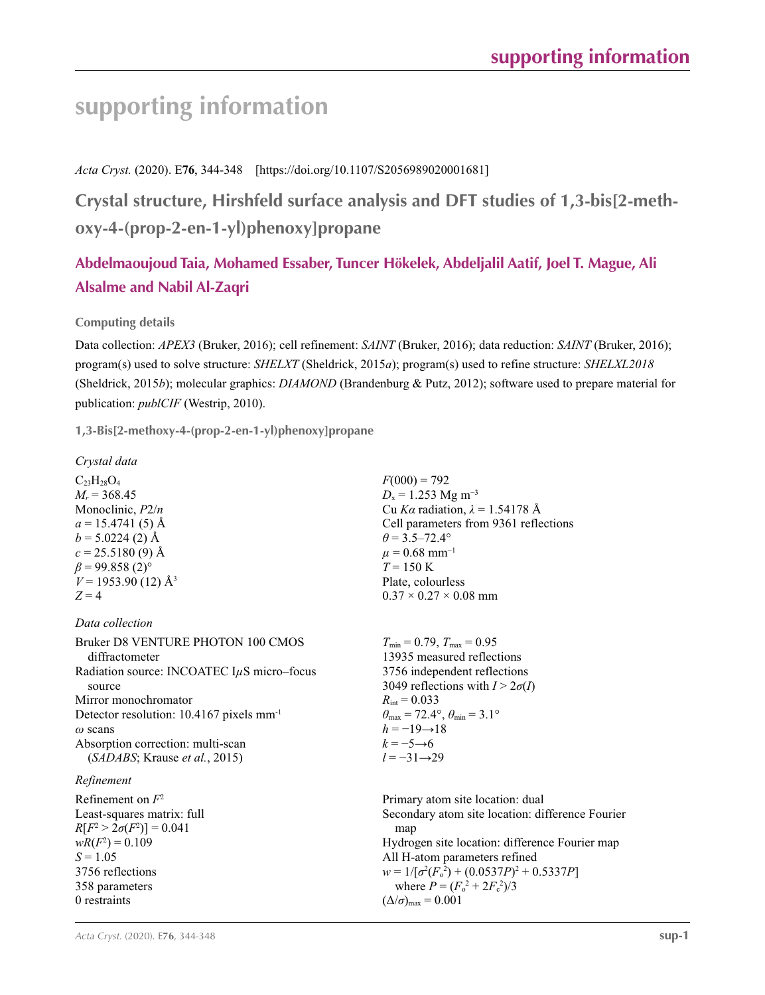*Acta Cryst.* (2020). E**76**, 344-348 [https://doi.org/10.1107/S2056989020001681]

**Crystal structure, Hirshfeld surface analysis and DFT studies of 1,3-bis[2-methoxy-4-(prop-2-en-1-yl)phenoxy]propane**

### **Abdelmaoujoud Taia, Mohamed Essaber, Tuncer Hökelek, Abdeljalil Aatif, Joel T. Mague, Ali Alsalme and Nabil Al-Zaqri**

#### **Computing details**

Data collection: *APEX3* (Bruker, 2016); cell refinement: *SAINT* (Bruker, 2016); data reduction: *SAINT* (Bruker, 2016); program(s) used to solve structure: *SHELXT* (Sheldrick, 2015*a*); program(s) used to refine structure: *SHELXL2018* (Sheldrick, 2015*b*); molecular graphics: *DIAMOND* (Brandenburg & Putz, 2012); software used to prepare material for publication: *publCIF* (Westrip, 2010).

**1,3-Bis[2-methoxy-4-(prop-2-en-1-yl)phenoxy]propane** 

```
Crystal data
```
 $C_{23}H_{28}O_4$  $M_r$  = 368.45 Monoclinic, *P*2/*n*  $a = 15.4741(5)$  Å  $b = 5.0224(2)$  Å  $c = 25.5180(9)$  Å  $\beta$  = 99.858 (2)<sup>°</sup>  $V = 1953.90$  (12)  $\AA$ <sup>3</sup>  $Z = 4$ 

*Data collection*

Bruker D8 VENTURE PHOTON 100 CMOS diffractometer Radiation source: INCOATEC I*µ*S micro–focus source Mirror monochromator Detector resolution: 10.4167 pixels mm-1 *ω* scans Absorption correction: multi-scan (*SADABS*; Krause *et al.*, 2015)

#### *Refinement*

Refinement on *F*<sup>2</sup> Least-squares matrix: full *R*[ $F^2 > 2\sigma(F^2)$ ] = 0.041  $wR(F^2) = 0.109$  $S = 1.05$ 3756 reflections 358 parameters 0 restraints

 $F(000) = 792$  $D_x = 1.253$  Mg m<sup>-3</sup> Cu *Kα* radiation, *λ* = 1.54178 Å Cell parameters from 9361 reflections  $\theta$  = 3.5–72.4°  $\mu$  = 0.68 mm<sup>-1</sup>  $T = 150 \text{ K}$ Plate, colourless  $0.37 \times 0.27 \times 0.08$  mm

 $T_{\text{min}} = 0.79$ ,  $T_{\text{max}} = 0.95$ 13935 measured reflections 3756 independent reflections 3049 reflections with  $I > 2\sigma(I)$  $R_{\text{int}} = 0.033$  $\theta_{\text{max}} = 72.4^{\circ}, \theta_{\text{min}} = 3.1^{\circ}$  $h = -19 \rightarrow 18$  $k = -5 \rightarrow 6$ *l* = −31→29

Primary atom site location: dual Secondary atom site location: difference Fourier map Hydrogen site location: difference Fourier map All H-atom parameters refined  $w = 1/[\sigma^2 (F_o^2) + (0.0537P)^2 + 0.5337P]$ where  $P = (F_o^2 + 2F_c^2)/3$  $(\Delta/\sigma)_{\text{max}} = 0.001$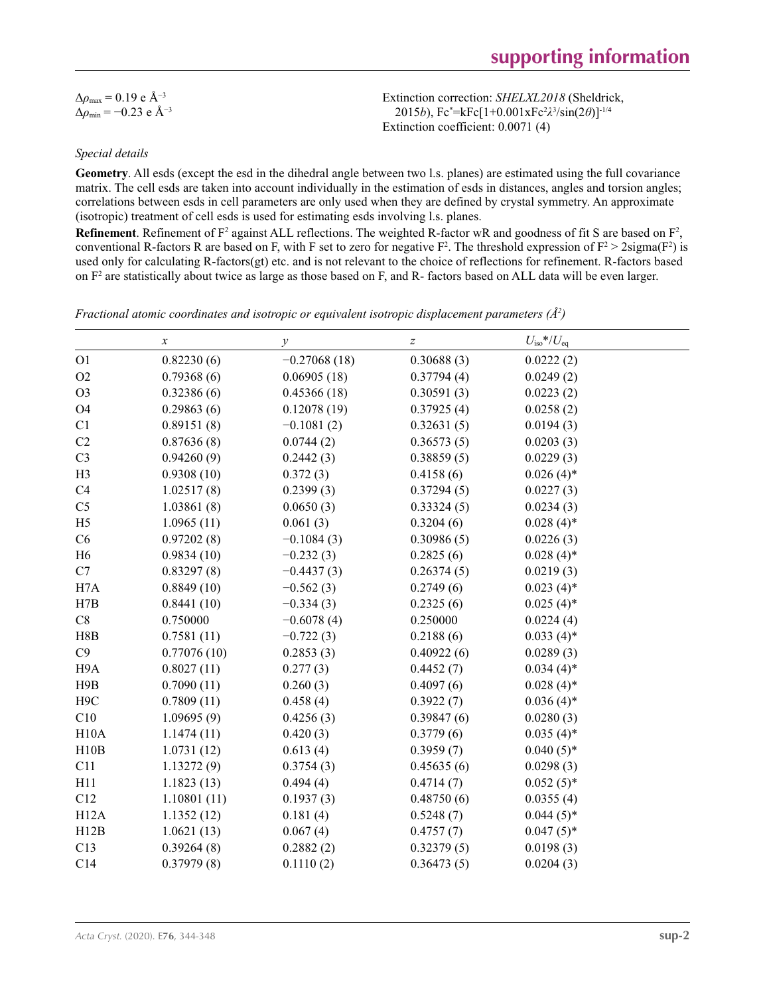| $\Delta \rho_{\text{max}} = 0.19 \text{ e A}^{-3}$ |
|----------------------------------------------------|
| $\Delta\rho_{\rm min} = -0.23$ e Å <sup>-3</sup>   |

Extinction correction: *SHELXL2018* (Sheldrick, 2015*b*), Fc\* =kFc[1+0.001xFc2 *λ*3 /sin(2*θ*)]-1/4 Extinction coefficient: 0.0071 (4)

#### *Special details*

**Geometry**. All esds (except the esd in the dihedral angle between two l.s. planes) are estimated using the full covariance matrix. The cell esds are taken into account individually in the estimation of esds in distances, angles and torsion angles; correlations between esds in cell parameters are only used when they are defined by crystal symmetry. An approximate (isotropic) treatment of cell esds is used for estimating esds involving l.s. planes.

**Refinement**. Refinement of  $F^2$  against ALL reflections. The weighted R-factor wR and goodness of fit S are based on  $F^2$ , conventional R-factors R are based on F, with F set to zero for negative  $F^2$ . The threshold expression of  $F^2 > 2 \text{sigma}(F^2)$  is used only for calculating R-factors(gt) etc. and is not relevant to the choice of reflections for refinement. R-factors based on  $F<sup>2</sup>$  are statistically about twice as large as those based on F, and R- factors based on ALL data will be even larger.

| Fractional atomic coordinates and isotropic or equivalent isotropic displacement parameters $(A^2)$ |
|-----------------------------------------------------------------------------------------------------|
|-----------------------------------------------------------------------------------------------------|

|                  | $\boldsymbol{x}$ | $\mathcal{Y}$  | $\boldsymbol{Z}$ | $U_{\rm iso}*/U_{\rm eq}$ |  |
|------------------|------------------|----------------|------------------|---------------------------|--|
| O <sub>1</sub>   | 0.82230(6)       | $-0.27068(18)$ | 0.30688(3)       | 0.0222(2)                 |  |
| O2               | 0.79368(6)       | 0.06905(18)    | 0.37794(4)       | 0.0249(2)                 |  |
| O <sub>3</sub>   | 0.32386(6)       | 0.45366(18)    | 0.30591(3)       | 0.0223(2)                 |  |
| O <sub>4</sub>   | 0.29863(6)       | 0.12078(19)    | 0.37925(4)       | 0.0258(2)                 |  |
| C1               | 0.89151(8)       | $-0.1081(2)$   | 0.32631(5)       | 0.0194(3)                 |  |
| C2               | 0.87636(8)       | 0.0744(2)      | 0.36573(5)       | 0.0203(3)                 |  |
| C <sub>3</sub>   | 0.94260(9)       | 0.2442(3)      | 0.38859(5)       | 0.0229(3)                 |  |
| H <sub>3</sub>   | 0.9308(10)       | 0.372(3)       | 0.4158(6)        | $0.026(4)$ *              |  |
| C4               | 1.02517(8)       | 0.2399(3)      | 0.37294(5)       | 0.0227(3)                 |  |
| C <sub>5</sub>   | 1.03861(8)       | 0.0650(3)      | 0.33324(5)       | 0.0234(3)                 |  |
| H <sub>5</sub>   | 1.0965(11)       | 0.061(3)       | 0.3204(6)        | $0.028(4)$ *              |  |
| C6               | 0.97202(8)       | $-0.1084(3)$   | 0.30986(5)       | 0.0226(3)                 |  |
| H <sub>6</sub>   | 0.9834(10)       | $-0.232(3)$    | 0.2825(6)        | $0.028(4)$ *              |  |
| C7               | 0.83297(8)       | $-0.4437(3)$   | 0.26374(5)       | 0.0219(3)                 |  |
| H7A              | 0.8849(10)       | $-0.562(3)$    | 0.2749(6)        | $0.023(4)$ *              |  |
| H7B              | 0.8441(10)       | $-0.334(3)$    | 0.2325(6)        | $0.025(4)$ *              |  |
| C8               | 0.750000         | $-0.6078(4)$   | 0.250000         | 0.0224(4)                 |  |
| H8B              | 0.7581(11)       | $-0.722(3)$    | 0.2188(6)        | $0.033(4)$ *              |  |
| C9               | 0.77076(10)      | 0.2853(3)      | 0.40922(6)       | 0.0289(3)                 |  |
| H9A              | 0.8027(11)       | 0.277(3)       | 0.4452(7)        | $0.034(4)$ *              |  |
| H9B              | 0.7090(11)       | 0.260(3)       | 0.4097(6)        | $0.028(4)$ *              |  |
| H <sub>9</sub> C | 0.7809(11)       | 0.458(4)       | 0.3922(7)        | $0.036(4)$ *              |  |
| C10              | 1.09695(9)       | 0.4256(3)      | 0.39847(6)       | 0.0280(3)                 |  |
| H10A             | 1.1474(11)       | 0.420(3)       | 0.3779(6)        | $0.035(4)$ *              |  |
| H10B             | 1.0731(12)       | 0.613(4)       | 0.3959(7)        | $0.040(5)$ *              |  |
| C11              | 1.13272(9)       | 0.3754(3)      | 0.45635(6)       | 0.0298(3)                 |  |
| H11              | 1.1823(13)       | 0.494(4)       | 0.4714(7)        | $0.052(5)$ *              |  |
| C12              | 1.10801(11)      | 0.1937(3)      | 0.48750(6)       | 0.0355(4)                 |  |
| H12A             | 1.1352(12)       | 0.181(4)       | 0.5248(7)        | $0.044(5)$ *              |  |
| H12B             | 1.0621(13)       | 0.067(4)       | 0.4757(7)        | $0.047(5)$ *              |  |
| C13              | 0.39264(8)       | 0.2882(2)      | 0.32379(5)       | 0.0198(3)                 |  |
| C14              | 0.37979(8)       | 0.1110(2)      | 0.36473(5)       | 0.0204(3)                 |  |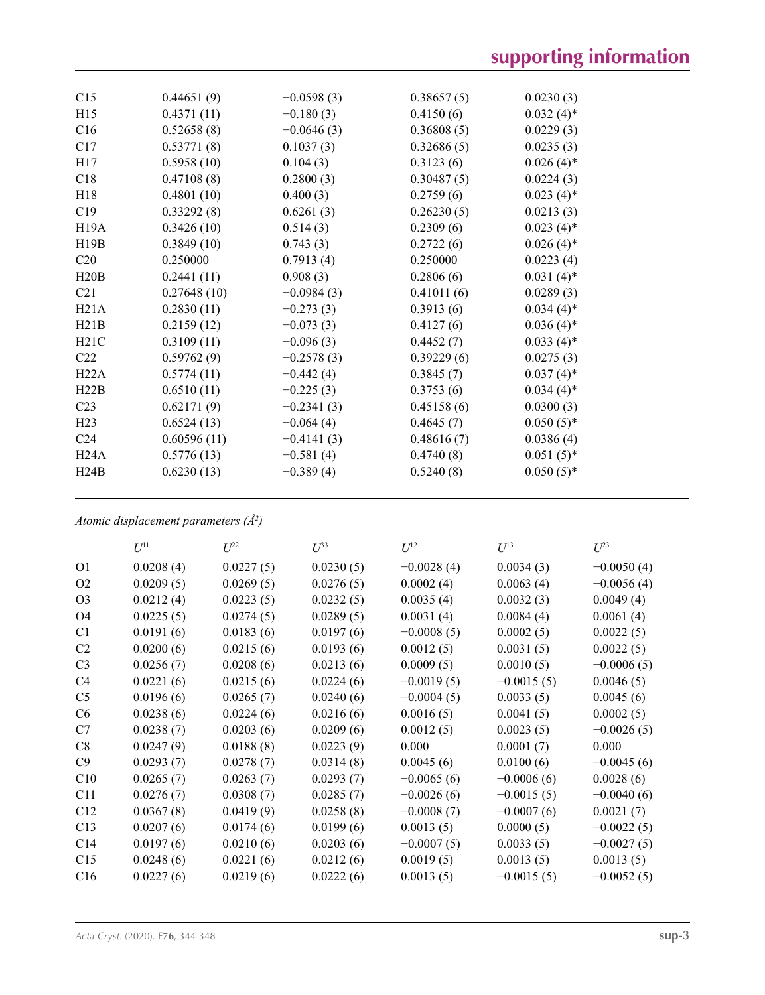| C15               | 0.44651(9)  | $-0.0598(3)$ | 0.38657(5) | 0.0230(3)    |
|-------------------|-------------|--------------|------------|--------------|
| H15               | 0.4371(11)  | $-0.180(3)$  | 0.4150(6)  | $0.032(4)$ * |
| C16               | 0.52658(8)  | $-0.0646(3)$ | 0.36808(5) | 0.0229(3)    |
| C17               | 0.53771(8)  | 0.1037(3)    | 0.32686(5) | 0.0235(3)    |
| H17               | 0.5958(10)  | 0.104(3)     | 0.3123(6)  | $0.026(4)$ * |
| C18               | 0.47108(8)  | 0.2800(3)    | 0.30487(5) | 0.0224(3)    |
| H18               | 0.4801(10)  | 0.400(3)     | 0.2759(6)  | $0.023(4)$ * |
| C19               | 0.33292(8)  | 0.6261(3)    | 0.26230(5) | 0.0213(3)    |
| H <sub>19</sub> A | 0.3426(10)  | 0.514(3)     | 0.2309(6)  | $0.023(4)$ * |
| H19B              | 0.3849(10)  | 0.743(3)     | 0.2722(6)  | $0.026(4)$ * |
| C <sub>20</sub>   | 0.250000    | 0.7913(4)    | 0.250000   | 0.0223(4)    |
| H20B              | 0.2441(11)  | 0.908(3)     | 0.2806(6)  | $0.031(4)$ * |
| C <sub>21</sub>   | 0.27648(10) | $-0.0984(3)$ | 0.41011(6) | 0.0289(3)    |
| H21A              | 0.2830(11)  | $-0.273(3)$  | 0.3913(6)  | $0.034(4)$ * |
| H21B              | 0.2159(12)  | $-0.073(3)$  | 0.4127(6)  | $0.036(4)$ * |
| H21C              | 0.3109(11)  | $-0.096(3)$  | 0.4452(7)  | $0.033(4)$ * |
| C22               | 0.59762(9)  | $-0.2578(3)$ | 0.39229(6) | 0.0275(3)    |
| H22A              | 0.5774(11)  | $-0.442(4)$  | 0.3845(7)  | $0.037(4)$ * |
| H22B              | 0.6510(11)  | $-0.225(3)$  | 0.3753(6)  | $0.034(4)$ * |
| C <sub>23</sub>   | 0.62171(9)  | $-0.2341(3)$ | 0.45158(6) | 0.0300(3)    |
| H23               | 0.6524(13)  | $-0.064(4)$  | 0.4645(7)  | $0.050(5)$ * |
| C <sub>24</sub>   | 0.60596(11) | $-0.4141(3)$ | 0.48616(7) | 0.0386(4)    |
| H24A              | 0.5776(13)  | $-0.581(4)$  | 0.4740(8)  | $0.051(5)$ * |
| H24B              | 0.6230(13)  | $-0.389(4)$  | 0.5240(8)  | $0.050(5)$ * |
|                   |             |              |            |              |

*Atomic displacement parameters (Å2 )*

| $U^{11}$  | $U^{22}$  | $U^{33}$  | $U^{12}$     | $U^{13}$     | $U^{23}$     |
|-----------|-----------|-----------|--------------|--------------|--------------|
| 0.0208(4) | 0.0227(5) | 0.0230(5) | $-0.0028(4)$ | 0.0034(3)    | $-0.0050(4)$ |
| 0.0209(5) | 0.0269(5) | 0.0276(5) | 0.0002(4)    | 0.0063(4)    | $-0.0056(4)$ |
| 0.0212(4) | 0.0223(5) | 0.0232(5) | 0.0035(4)    | 0.0032(3)    | 0.0049(4)    |
| 0.0225(5) | 0.0274(5) | 0.0289(5) | 0.0031(4)    | 0.0084(4)    | 0.0061(4)    |
| 0.0191(6) | 0.0183(6) | 0.0197(6) | $-0.0008(5)$ | 0.0002(5)    | 0.0022(5)    |
| 0.0200(6) | 0.0215(6) | 0.0193(6) | 0.0012(5)    | 0.0031(5)    | 0.0022(5)    |
| 0.0256(7) | 0.0208(6) | 0.0213(6) | 0.0009(5)    | 0.0010(5)    | $-0.0006(5)$ |
| 0.0221(6) | 0.0215(6) | 0.0224(6) | $-0.0019(5)$ | $-0.0015(5)$ | 0.0046(5)    |
| 0.0196(6) | 0.0265(7) | 0.0240(6) | $-0.0004(5)$ | 0.0033(5)    | 0.0045(6)    |
| 0.0238(6) | 0.0224(6) | 0.0216(6) | 0.0016(5)    | 0.0041(5)    | 0.0002(5)    |
| 0.0238(7) | 0.0203(6) | 0.0209(6) | 0.0012(5)    | 0.0023(5)    | $-0.0026(5)$ |
| 0.0247(9) | 0.0188(8) | 0.0223(9) | 0.000        | 0.0001(7)    | 0.000        |
| 0.0293(7) | 0.0278(7) | 0.0314(8) | 0.0045(6)    | 0.0100(6)    | $-0.0045(6)$ |
| 0.0265(7) | 0.0263(7) | 0.0293(7) | $-0.0065(6)$ | $-0.0006(6)$ | 0.0028(6)    |
| 0.0276(7) | 0.0308(7) | 0.0285(7) | $-0.0026(6)$ | $-0.0015(5)$ | $-0.0040(6)$ |
| 0.0367(8) | 0.0419(9) | 0.0258(8) | $-0.0008(7)$ | $-0.0007(6)$ | 0.0021(7)    |
| 0.0207(6) | 0.0174(6) | 0.0199(6) | 0.0013(5)    | 0.0000(5)    | $-0.0022(5)$ |
| 0.0197(6) | 0.0210(6) | 0.0203(6) | $-0.0007(5)$ | 0.0033(5)    | $-0.0027(5)$ |
| 0.0248(6) | 0.0221(6) | 0.0212(6) | 0.0019(5)    | 0.0013(5)    | 0.0013(5)    |
| 0.0227(6) | 0.0219(6) | 0.0222(6) | 0.0013(5)    | $-0.0015(5)$ | $-0.0052(5)$ |
|           |           |           |              |              |              |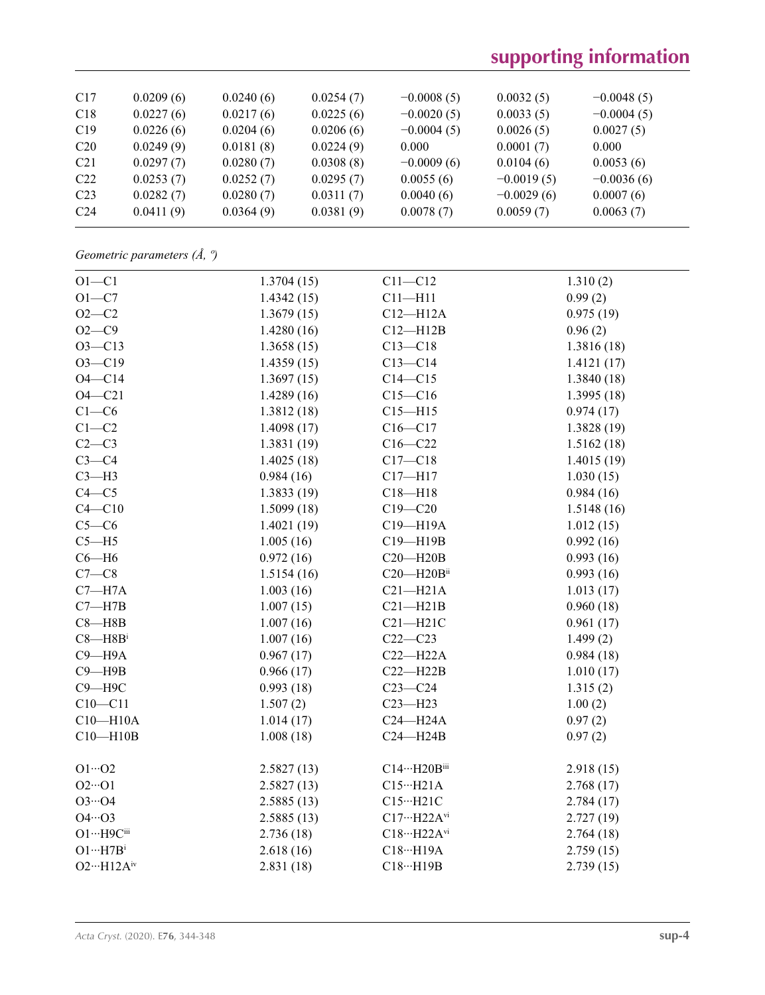| C17             | 0.0209(6) | 0.0240(6) | 0.0254(7) | $-0.0008(5)$ | 0.0032(5)    | $-0.0048(5)$ |
|-----------------|-----------|-----------|-----------|--------------|--------------|--------------|
| C18             | 0.0227(6) | 0.0217(6) | 0.0225(6) | $-0.0020(5)$ | 0.0033(5)    | $-0.0004(5)$ |
| C19             | 0.0226(6) | 0.0204(6) | 0.0206(6) | $-0.0004(5)$ | 0.0026(5)    | 0.0027(5)    |
| C20             | 0.0249(9) | 0.0181(8) | 0.0224(9) | 0.000        | 0.0001(7)    | 0.000        |
| C <sub>21</sub> | 0.0297(7) | 0.0280(7) | 0.0308(8) | $-0.0009(6)$ | 0.0104(6)    | 0.0053(6)    |
| C22             | 0.0253(7) | 0.0252(7) | 0.0295(7) | 0.0055(6)    | $-0.0019(5)$ | $-0.0036(6)$ |
| C <sub>23</sub> | 0.0282(7) | 0.0280(7) | 0.0311(7) | 0.0040(6)    | $-0.0029(6)$ | 0.0007(6)    |
| C <sub>24</sub> | 0.0411(9) | 0.0364(9) | 0.0381(9) | 0.0078(7)    | 0.0059(7)    | 0.0063(7)    |

*Geometric parameters (Å, º)*

| 1.3704(15) | $C11 - C12$                                                                    | 1.310(2)                                                                                                                            |
|------------|--------------------------------------------------------------------------------|-------------------------------------------------------------------------------------------------------------------------------------|
| 1.4342(15) | $C11 - H11$                                                                    | 0.99(2)                                                                                                                             |
| 1.3679(15) | $C12 - H12A$                                                                   | 0.975(19)                                                                                                                           |
| 1.4280(16) | $C12 - H12B$                                                                   | 0.96(2)                                                                                                                             |
| 1.3658(15) | $C13 - C18$                                                                    | 1.3816 (18)                                                                                                                         |
| 1.4359(15) | $C13 - C14$                                                                    | 1.4121(17)                                                                                                                          |
| 1.3697(15) | $C14 - C15$                                                                    | 1.3840(18)                                                                                                                          |
| 1.4289(16) | $C15 - C16$                                                                    | 1.3995(18)                                                                                                                          |
| 1.3812(18) | $C15 - H15$                                                                    | 0.974(17)                                                                                                                           |
| 1.4098(17) | $C16 - C17$                                                                    | 1.3828(19)                                                                                                                          |
| 1.3831(19) | $C16 - C22$                                                                    | 1.5162(18)                                                                                                                          |
| 1.4025(18) | $C17 - C18$                                                                    | 1.4015(19)                                                                                                                          |
| 0.984(16)  | $C17 - H17$                                                                    | 1.030(15)                                                                                                                           |
| 1.3833(19) | $C18 - H18$                                                                    | 0.984(16)                                                                                                                           |
| 1.5099(18) | $C19 - C20$                                                                    | 1.5148(16)                                                                                                                          |
| 1.4021(19) | C19-H19A                                                                       | 1.012(15)                                                                                                                           |
| 1.005(16)  | C19-H19B                                                                       | 0.992(16)                                                                                                                           |
| 0.972(16)  | $C20 - H20B$                                                                   | 0.993(16)                                                                                                                           |
| 1.5154(16) | C20-H20Bii                                                                     | 0.993(16)                                                                                                                           |
| 1.003(16)  | $C21 - H21A$                                                                   | 1.013(17)                                                                                                                           |
| 1.007(15)  | $C21 - H21B$                                                                   | 0.960(18)                                                                                                                           |
| 1.007(16)  | $C21 - H21C$                                                                   | 0.961(17)                                                                                                                           |
| 1.007(16)  | $C22-C23$                                                                      | 1.499(2)                                                                                                                            |
| 0.967(17)  | $C22-H22A$                                                                     | 0.984(18)                                                                                                                           |
| 0.966(17)  | $C22 - H22B$                                                                   | 1.010(17)                                                                                                                           |
| 0.993(18)  | $C23-C24$                                                                      | 1.315(2)                                                                                                                            |
| 1.507(2)   | $C23 - H23$                                                                    | 1.00(2)                                                                                                                             |
| 1.014(17)  | $C24 - H24A$                                                                   | 0.97(2)                                                                                                                             |
| 1.008(18)  | $C24 - H24B$                                                                   | 0.97(2)                                                                                                                             |
|            |                                                                                | 2.918(15)                                                                                                                           |
|            |                                                                                | 2.768(17)                                                                                                                           |
|            |                                                                                | 2.784(17)                                                                                                                           |
|            |                                                                                | 2.727(19)                                                                                                                           |
|            |                                                                                | 2.764(18)                                                                                                                           |
|            |                                                                                | 2.759(15)                                                                                                                           |
| 2.831(18)  | C18…H19B                                                                       | 2.739(15)                                                                                                                           |
|            | 2.5827(13)<br>2.5827(13)<br>2.5885(13)<br>2.5885(13)<br>2.736(18)<br>2.618(16) | C14…H20Biii<br>$C15\cdot\cdot\cdot H21A$<br>$C15 \cdots H21C$<br>$C17\cdots H22A^{vi}$<br>$C18\cdots H22A^{vi}$<br>$C18\cdots H19A$ |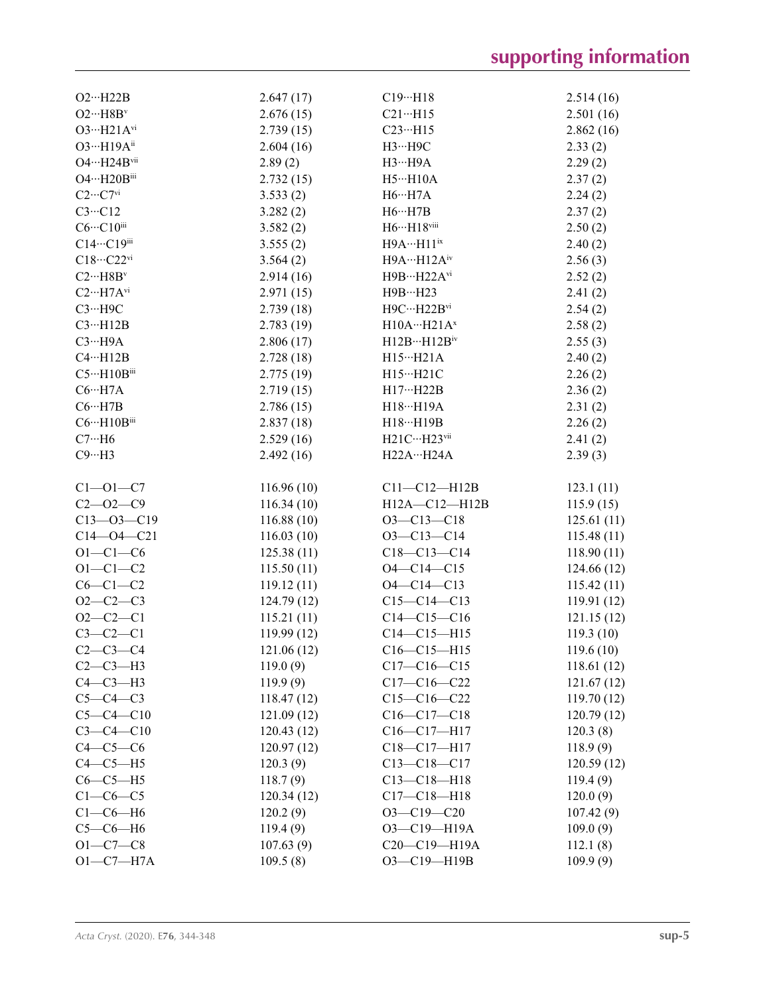| $O2 \cdot \cdot \cdot H22B$                | 2.647(17)             | $C19 \cdot \cdot \cdot H18$      | 2.514(16)            |
|--------------------------------------------|-----------------------|----------------------------------|----------------------|
| $O2 \cdot \cdot \cdot H8B^v$               | 2.676(15)             | $C21 \cdot \cdot \cdot H15$      | 2.501(16)            |
| $O3 \cdot H21A^{vi}$                       | 2.739(15)             | $C23 \cdot \cdot \cdot H15$      | 2.862(16)            |
| 03…H19Aii                                  | 2.604(16)             | $H3 \cdots H9C$                  | 2.33(2)              |
| $O4 \cdot \cdot \cdot H24B$ <sup>vii</sup> | 2.89(2)               | $H3 \cdots H9A$                  | 2.29(2)              |
| O4…H20Biii                                 | 2.732(15)             | $H5 \cdot \cdot \cdot H10A$      | 2.37(2)              |
| $C2 \cdots C7$ <sup>vi</sup>               | 3.533(2)              | $H6 \cdots H7A$                  | 2.24(2)              |
| $C3 \cdot \cdot \cdot C12$                 | 3.282(2)              | $H6 \cdots H7B$                  | 2.37(2)              |
| $C6 \cdots C10$ iii                        | 3.582(2)              | $H6\cdots H18$ viii              | 2.50(2)              |
| C14…C19iii                                 | 3.555(2)              | $H9A \cdots H11$ <sup>ix</sup>   | 2.40(2)              |
| $C18\cdot\cdot\cdot C22\text{vi}$          | 3.564(2)              | $H9A \cdots H12A^{iv}$           | 2.56(3)              |
| $C2 \cdot \cdot \cdot H8B^v$               | 2.914(16)             | $H9B\cdots H22A^{vi}$            | 2.52(2)              |
| $C2 \cdot \cdot \cdot H7A$ <sup>vi</sup>   | 2.971(15)             | H9B…H23                          | 2.41(2)              |
| $C3 \cdot \cdot \cdot H9C$                 | 2.739(18)             | $H9C \cdots H22B$ <sup>vi</sup>  | 2.54(2)              |
| $C3 \cdot \cdot \cdot H12B$                | 2.783(19)             | $H10A \cdots H21A^x$             | 2.58(2)              |
| $C3 \cdot \cdot \cdot H9A$                 | 2.806(17)             | $H12B\cdots H12B^{\rm iv}$       | 2.55(3)              |
| $C4 \cdot \cdot \cdot H12B$                | 2.728(18)             | $H15 \cdots H21A$                | 2.40(2)              |
| $C5 \cdot \cdot \cdot H10B$ iii            | 2.775(19)             | H15…H21C                         | 2.26(2)              |
| $C6 \cdots H7A$                            | 2.719(15)             | H17…H22B                         | 2.36(2)              |
| $C6 \cdots H7B$                            | 2.786(15)             | H18…H19A                         | 2.31(2)              |
| $C6 \cdots H10B$ iii                       | 2.837(18)             | $H18\cdots H19B$                 | 2.26(2)              |
| $C7 \cdot \cdot \cdot H6$                  | 2.529(16)             | $H21C \cdots H23$ <sup>vii</sup> | 2.41(2)              |
| $C9 \cdot \cdot \cdot H3$                  | 2.492(16)             | H22AH24A                         | 2.39(3)              |
|                                            |                       |                                  |                      |
| $C1 - 01 - C7$                             | 116.96(10)            | $C11-C12-H12B$                   | 123.1(11)            |
| $C2 - 02 - C9$                             | 116.34(10)            | H12A-C12-H12B                    | 115.9(15)            |
| $C13 - 03 - C19$                           | 116.88(10)            | $O3 - C13 - C18$                 | 125.61(11)           |
| $C14 - 04 - C21$                           | 116.03(10)            | $O3 - C13 - C14$                 | 115.48(11)           |
| $O1 - C1 - C6$                             | 125.38(11)            | $C18 - C13 - C14$                | 118.90(11)           |
| $O1 - C1 - C2$                             | 115.50(11)            | $O4 - C14 - C15$                 | 124.66(12)           |
| $C6-C1-C2$                                 | 119.12(11)            | $O4 - C14 - C13$                 | 115.42(11)           |
| $O2 - C2 - C3$                             | 124.79(12)            | $C15-C14-C13$                    | 119.91(12)           |
| $O2 - C2 - C1$                             | 115.21(11)            | $C14 - C15 - C16$                | 121.15(12)           |
| $C3-C2-C1$                                 | 119.99(12)            | $C14 - C15 - H15$                | 119.3(10)            |
| $C2-C3-C4$                                 | 121.06(12)            | $C16-C15-H15$                    | 119.6(10)            |
| $C2-C3-H3$                                 | 119.0(9)              | $C17-C16-C15$                    | 118.61 (12)          |
| $C4-C3-H3$                                 | 119.9(9)              | $C17-C16-C22$                    | 121.67(12)           |
| $C5-C4-C3$                                 |                       | $C15-C16-C22$                    | 119.70(12)           |
| $C5 - C4 - C10$                            | 118.47(12)            | $C16-C17-C18$                    | 120.79(12)           |
|                                            | 121.09(12)            |                                  |                      |
| $C3 - C4 - C10$                            | 120.43(12)            | $C16-C17-H17$                    | 120.3(8)             |
| $C4-C5-C6$                                 | 120.97(12)            | $C18 - C17 - H17$                | 118.9(9)             |
| $C4-C5-H5$                                 | 120.3(9)              | $C13 - C18 - C17$                | 120.59(12)           |
| $C6-C5-H5$                                 | 118.7(9)              | $C13 - C18 - H18$                | 119.4(9)             |
| $C1-C6-C5$                                 | 120.34(12)            | $C17 - C18 - H18$                | 120.0(9)             |
| $C1-C6-H6$                                 | 120.2(9)              | $O3 - C19 - C20$                 | 107.42(9)            |
|                                            |                       |                                  |                      |
| $C5-C6-H6$                                 | 119.4(9)              | O3-C19-H19A                      | 109.0(9)             |
| $O1 - C7 - C8$<br>$O1-C7-H7A$              | 107.63(9)<br>109.5(8) | $C20-C19-H19A$<br>O3-C19-H19B    | 112.1(8)<br>109.9(9) |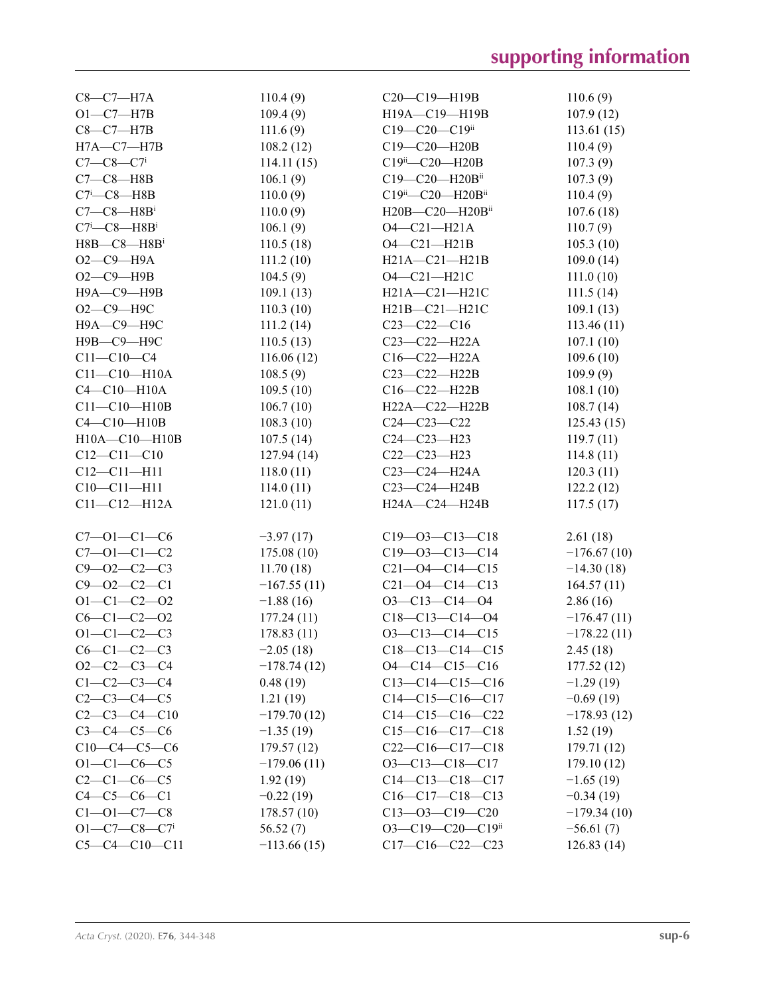| $C8-C7-H7A$                                | 110.4(9)      | C20-C19-H19B                    | 110.6(9)      |
|--------------------------------------------|---------------|---------------------------------|---------------|
| $O1-C7-H7B$                                | 109.4(9)      | H19A-C19-H19B                   | 107.9(12)     |
| $C8-C7-H7B$                                | 111.6(9)      | $C19 - C20 - C19$ <sup>ii</sup> | 113.61(15)    |
| $H7A - C7 - H7B$                           | 108.2(12)     | C19-C20-H20B                    | 110.4(9)      |
| $C7 - C8 - C7$ <sup>i</sup>                | 114.11(15)    | C19ii-C20-H20B                  | 107.3(9)      |
| $C7-C8-$ H8B                               | 106.1(9)      | C19-C20-H20Bii                  | 107.3(9)      |
| $C7$ <sup>i</sup> - $C8$ -H8B              | 110.0(9)      | C19ii-C20-H20Bii                | 110.4(9)      |
| $C7-C8$ —H8B <sup>i</sup>                  | 110.0(9)      | H20B-C20-H20Bii                 | 107.6(18)     |
| $C7$ <sup>i</sup> - $C8$ -H8B <sup>i</sup> | 106.1(9)      | $O4 - C21 - H21A$               | 110.7(9)      |
| $H8B - C8 - H8B$ <sup>i</sup>              | 110.5(18)     | $O4 - C21 - H21B$               | 105.3(10)     |
| $O2-C9 - H9A$                              | 111.2(10)     | H21A-C21-H21B                   | 109.0(14)     |
| $O2-C9$ -H9B                               | 104.5(9)      | O4-C21-H21C                     | 111.0(10)     |
| Н9А-С9-Н9В                                 | 109.1(13)     | H21A-C21-H21C                   | 111.5(14)     |
| О2-С9-Н9С                                  | 110.3(10)     | H21B-C21-H21C                   | 109.1(13)     |
| Н9А-С9-Н9С                                 | 111.2(14)     | $C23-C22-C16$                   | 113.46(11)    |
| Н9В-С9-Н9С                                 | 110.5(13)     | C23-C22-H22A                    | 107.1(10)     |
| $C11 - C10 - C4$                           | 116.06(12)    | $C16-C22-H22A$                  | 109.6(10)     |
| $C11-C10-H10A$                             | 108.5(9)      | C23-C22-H22B                    | 109.9(9)      |
| $C4-C10-H10A$                              | 109.5(10)     | C16-C22-H22B                    | 108.1(10)     |
| $C11 - C10 - H10B$                         | 106.7(10)     | H22A-C22-H22B                   | 108.7(14)     |
| $C4 - C10 - H10B$                          | 108.3(10)     | $C24 - C23 - C22$               | 125.43(15)    |
| H10A-C10-H10B                              | 107.5(14)     | C24-C23-H23                     | 119.7(11)     |
| $C12 - C11 - C10$                          | 127.94(14)    | $C22-C23-H23$                   | 114.8(11)     |
| $C12 - C11 - H11$                          | 118.0(11)     | C23-C24-H24A                    | 120.3(11)     |
| $C10 - C11 - H11$                          | 114.0(11)     | C23-C24-H24B                    | 122.2(12)     |
| $C11 - C12 - H12A$                         | 121.0(11)     | H24A-C24-H24B                   | 117.5(17)     |
|                                            |               |                                 |               |
| $C7 - 01 - C1 - C6$                        | $-3.97(17)$   | $C19 - 03 - C13 - C18$          | 2.61(18)      |
| $C7 - 01 - C1 - C2$                        | 175.08(10)    | $C19 - 03 - C13 - C14$          | $-176.67(10)$ |
| $C9 - 02 - C2 - C3$                        | 11.70(18)     | $C21 - 04 - C14 - C15$          | $-14.30(18)$  |
| $C9 - 02 - C2 - C1$                        | $-167.55(11)$ | $C21 - 04 - C14 - C13$          | 164.57(11)    |
| $O1 - C1 - C2 - O2$                        | $-1.88(16)$   | $O3 - C13 - C14 - O4$           | 2.86(16)      |
| $C6 - C1 - C2 - 02$                        | 177.24(11)    | $C18-C13-C14-O4$                | $-176.47(11)$ |
| $O1 - C1 - C2 - C3$                        | 178.83(11)    | $O3 - C13 - C14 - C15$          | $-178.22(11)$ |
| $C6-C1-C2-C3$                              | $-2.05(18)$   | $C18-C13-C14-C15$               | 2.45(18)      |
| $O2-C2-C3-C4$                              | $-178.74(12)$ | $O4 - C14 - C15 - C16$          | 177.52(12)    |
| $C1 - C2 - C3 - C4$                        | 0.48(19)      | $C13-C14-C15-C16$               | $-1.29(19)$   |
| $C2-C3-C4-C5$                              | 1.21(19)      | $C14-C15-C16-C17$               | $-0.69(19)$   |
| $C2-C3-C4-C10$                             | $-179.70(12)$ | $C14-C15-C16-C22$               | $-178.93(12)$ |
| $C3 - C4 - C5 - C6$                        | $-1.35(19)$   | $C15-C16-C17-C18$               | 1.52(19)      |
| $C10-C4-C5-C6$                             | 179.57(12)    | $C22-C16-C17-C18$               | 179.71(12)    |
| $O1 - C1 - C6 - C5$                        | $-179.06(11)$ | $O3-C13-C18-C17$                | 179.10(12)    |
| $C2-C1-C6-C5$                              | 1.92(19)      | $C14-C13-C18-C17$               | $-1.65(19)$   |
| $C4 - C5 - C6 - C1$                        | $-0.22(19)$   | $C16-C17-C18-C13$               | $-0.34(19)$   |
| $C1 - 01 - C7 - C8$                        | 178.57(10)    | $C13 - 03 - C19 - C20$          | $-179.34(10)$ |
| $O1 - C7 - C8 - C7$                        | 56.52(7)      | O3-C19-C20-C19ii                | $-56.61(7)$   |
| $C5-C4-C10-C11$                            | $-113.66(15)$ | $C17-C16-C22-C23$               | 126.83(14)    |